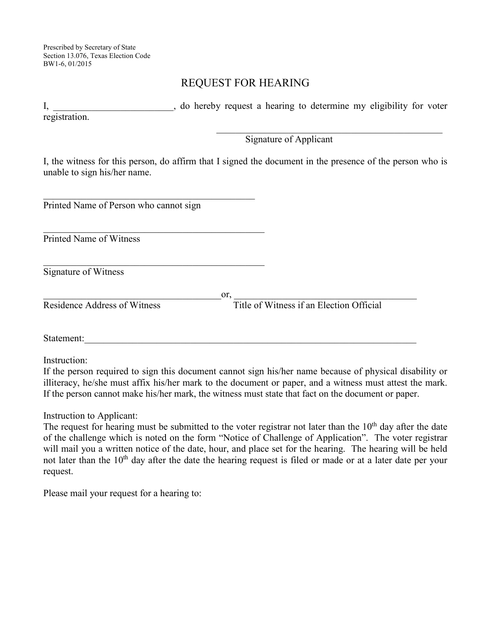Prescribed by Secretary of State Section 13.076, Texas Election Code BW1-6, 01/2015

## REQUEST FOR HEARING

I, do hereby request a hearing to determine my eligibility for voter registration.  $\mathcal{L}_\mathcal{L}$  , and the set of the set of the set of the set of the set of the set of the set of the set of the set of the set of the set of the set of the set of the set of the set of the set of the set of the set of th

Signature of Applicant

I, the witness for this person, do affirm that I signed the document in the presence of the person who is unable to sign his/her name.

 $\mathcal{L}_\mathcal{L}$  , which is a set of the set of the set of the set of the set of the set of the set of the set of the set of the set of the set of the set of the set of the set of the set of the set of the set of the set of Printed Name of Person who cannot sign

 $\mathcal{L}_\mathcal{L}$  , which is a set of the set of the set of the set of the set of the set of the set of the set of the set of the set of the set of the set of the set of the set of the set of the set of the set of the set of

Printed Name of Witness

 $\mathcal{L}_\mathcal{L}$  , which is a set of the set of the set of the set of the set of the set of the set of the set of the set of the set of the set of the set of the set of the set of the set of the set of the set of the set of Signature of Witness

Residence Address of Witness Title of Witness if an Election Official

 $\qquad \qquad \text{or,} \qquad \qquad \qquad \qquad \text{or,}$ 

Statement:

Instruction:

If the person required to sign this document cannot sign his/her name because of physical disability or illiteracy, he/she must affix his/her mark to the document or paper, and a witness must attest the mark. If the person cannot make his/her mark, the witness must state that fact on the document or paper.

Instruction to Applicant:

The request for hearing must be submitted to the voter registrar not later than the  $10<sup>th</sup>$  day after the date of the challenge which is noted on the form "Notice of Challenge of Application". The voter registrar will mail you a written notice of the date, hour, and place set for the hearing. The hearing will be held not later than the 10<sup>th</sup> day after the date the hearing request is filed or made or at a later date per your request.

Please mail your request for a hearing to: